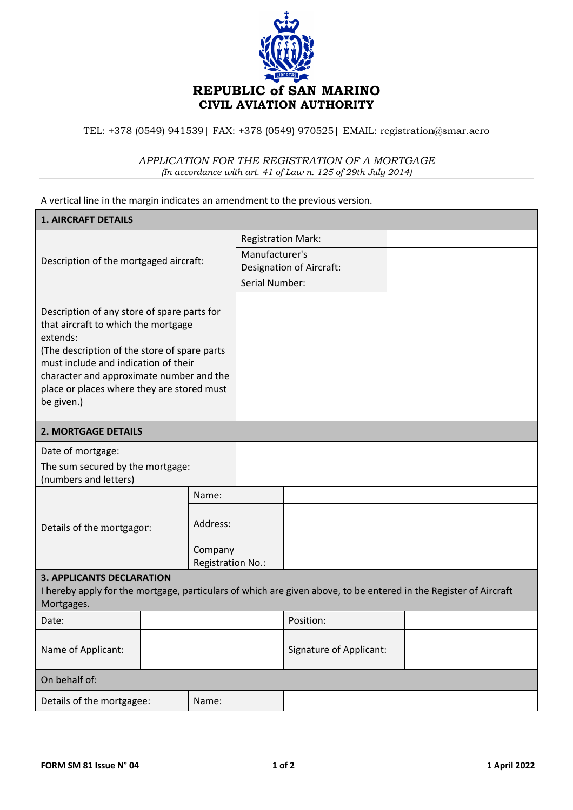

TEL: +378 (0549) 941539| FAX: +378 (0549) 970525| EMAIL: registration@smar.aero

## *APPLICATION FOR THE REGISTRATION OF A MORTGAGE*

*(In accordance with art. 41 of Law n. 125 of 29th July 2014)*

A vertical line in the margin indicates an amendment to the previous version.

| <b>1. AIRCRAFT DETAILS</b>                                                                                                                                                                                                                                                                     |  |                              |                                                   |                         |  |  |  |  |
|------------------------------------------------------------------------------------------------------------------------------------------------------------------------------------------------------------------------------------------------------------------------------------------------|--|------------------------------|---------------------------------------------------|-------------------------|--|--|--|--|
| Description of the mortgaged aircraft:                                                                                                                                                                                                                                                         |  |                              | <b>Registration Mark:</b>                         |                         |  |  |  |  |
|                                                                                                                                                                                                                                                                                                |  |                              | Manufacturer's<br><b>Designation of Aircraft:</b> |                         |  |  |  |  |
|                                                                                                                                                                                                                                                                                                |  |                              | Serial Number:                                    |                         |  |  |  |  |
| Description of any store of spare parts for<br>that aircraft to which the mortgage<br>extends:<br>(The description of the store of spare parts<br>must include and indication of their<br>character and approximate number and the<br>place or places where they are stored must<br>be given.) |  |                              |                                                   |                         |  |  |  |  |
| <b>2. MORTGAGE DETAILS</b>                                                                                                                                                                                                                                                                     |  |                              |                                                   |                         |  |  |  |  |
| Date of mortgage:                                                                                                                                                                                                                                                                              |  |                              |                                                   |                         |  |  |  |  |
| The sum secured by the mortgage:<br>(numbers and letters)                                                                                                                                                                                                                                      |  |                              |                                                   |                         |  |  |  |  |
|                                                                                                                                                                                                                                                                                                |  | Name:                        |                                                   |                         |  |  |  |  |
| Details of the mortgagor:                                                                                                                                                                                                                                                                      |  | Address:                     |                                                   |                         |  |  |  |  |
|                                                                                                                                                                                                                                                                                                |  | Company<br>Registration No.: |                                                   |                         |  |  |  |  |
| <b>3. APPLICANTS DECLARATION</b><br>I hereby apply for the mortgage, particulars of which are given above, to be entered in the Register of Aircraft<br>Mortgages.                                                                                                                             |  |                              |                                                   |                         |  |  |  |  |
| Date:                                                                                                                                                                                                                                                                                          |  |                              |                                                   | Position:               |  |  |  |  |
| Name of Applicant:                                                                                                                                                                                                                                                                             |  |                              |                                                   | Signature of Applicant: |  |  |  |  |
| On behalf of:                                                                                                                                                                                                                                                                                  |  |                              |                                                   |                         |  |  |  |  |
| Details of the mortgagee:<br>Name:                                                                                                                                                                                                                                                             |  |                              |                                                   |                         |  |  |  |  |